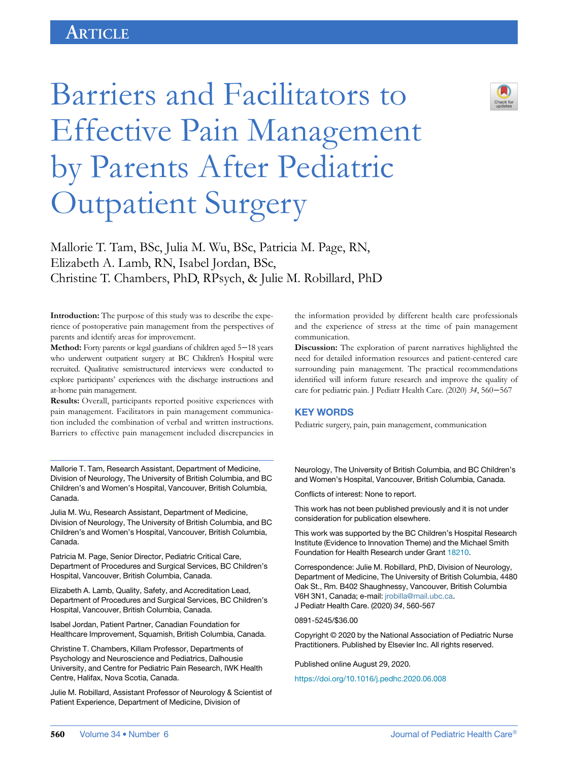# Barriers and Facilitators to Effective Pain Management by Parents After Pediatric Outpatient Surgery



Mallorie T. Tam, BSc, Julia M. Wu, BSc, Patricia M. Page, RN, Elizabeth A. Lamb, RN, Isabel Jordan, BSc, Christine T. Chambers, PhD, RPsych, & Julie M. Robillard, PhD

Introduction: The purpose of this study was to describe the experience of postoperative pain management from the perspectives of parents and identify areas for improvement.

Method: Forty parents or legal guardians of children aged 5−18 years who underwent outpatient surgery at BC Children's Hospital were recruited. Qualitative semistructured interviews were conducted to explore participants' experiences with the discharge instructions and at-home pain management.

Results: Overall, participants reported positive experiences with pain management. Facilitators in pain management communication included the combination of verbal and written instructions. Barriers to effective pain management included discrepancies in

Mallorie T. Tam, Research Assistant, Department of Medicine, Division of Neurology, The University of British Columbia, and BC Children's and Women's Hospital, Vancouver, British Columbia, Canada.

Julia M. Wu, Research Assistant, Department of Medicine, Division of Neurology, The University of British Columbia, and BC Children's and Women's Hospital, Vancouver, British Columbia, Canada.

<span id="page-0-0"></span>Patricia M. Page, Senior Director, Pediatric Critical Care, Department of Procedures and Surgical Services, BC Children's Hospital, Vancouver, British Columbia, Canada.

Elizabeth A. Lamb, Quality, Safety, and Accreditation Lead, Department of Procedures and Surgical Services, BC Children's Hospital, Vancouver, British Columbia, Canada.

Isabel Jordan, Patient Partner, Canadian Foundation for Healthcare Improvement, Squamish, British Columbia, Canada.

Christine T. Chambers, Killam Professor, Departments of Psychology and Neuroscience and Pediatrics, Dalhousie University, and Centre for Pediatric Pain Research, IWK Health Centre, Halifax, Nova Scotia, Canada.

Julie M. Robillard, Assistant Professor of Neurology & Scientist of Patient Experience, Department of Medicine, Division of

the information provided by different health care professionals and the experience of stress at the time of pain management communication.

Discussion: The exploration of parent narratives highlighted the need for detailed information resources and patient-centered care surrounding pain management. The practical recommendations identified will inform future research and improve the quality of care for pediatric pain. J Pediatr Health Care. (2020) 34, 560−567

## KEY WORDS

Pediatric surgery, pain, pain management, communication

Neurology, The University of British Columbia, and BC Children's and Women's Hospital, Vancouver, British Columbia, Canada.

Conflicts of interest: None to report.

This work has not been published previously and it is not under consideration for publication elsewhere.

This work was supported by the BC Children's Hospital Research Institute (Evidence to Innovation Theme) and the Michael Smith Foundation for Health Research under Grant [18210](#page-0-0).

Correspondence: Julie M. Robillard, PhD, Division of Neurology, Department of Medicine, The University of British Columbia, 4480 Oak St., Rm. B402 Shaughnessy, Vancouver, British Columbia V6H 3N1, Canada; e-mail: [jrobilla@mail.ubc.ca.](mailto:jrobilla@mail.ubc.ca) J Pediatr Health Care. (2020) 34, 560-567

0891-5245/\$36.00

Copyright © 2020 by the National Association of Pediatric Nurse Practitioners. Published by Elsevier Inc. All rights reserved.

Published online August 29, 2020.

<https://doi.org/10.1016/j.pedhc.2020.06.008>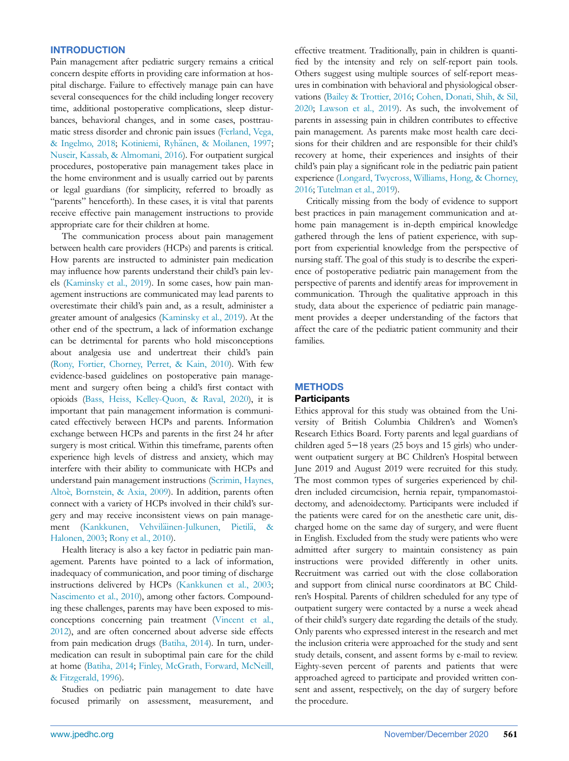## **INTRODUCTION**

Pain management after pediatric surgery remains a critical concern despite efforts in providing care information at hospital discharge. Failure to effectively manage pain can have several consequences for the child including longer recovery time, additional postoperative complications, sleep disturbances, behavioral changes, and in some cases, posttraumatic stress disorder and chronic pain issues ([Ferland, Vega,](#page-7-0) [& Ingelmo, 2018;](#page-7-0) [Kotiniemi, Ryh](#page-7-1)ä[nen, & Moilanen, 1997;](#page-7-1) [Nuseir, Kassab, & Almomani, 2016\)](#page-7-2). For outpatient surgical procedures, postoperative pain management takes place in the home environment and is usually carried out by parents or legal guardians (for simplicity, referred to broadly as "parents" henceforth). In these cases, it is vital that parents receive effective pain management instructions to provide appropriate care for their children at home.

The communication process about pain management between health care providers (HCPs) and parents is critical. How parents are instructed to administer pain medication may influence how parents understand their child's pain levels ([Kaminsky et al., 2019](#page-7-3)). In some cases, how pain management instructions are communicated may lead parents to overestimate their child's pain and, as a result, administer a greater amount of analgesics [\(Kaminsky et al., 2019](#page-7-3)). At the other end of the spectrum, a lack of information exchange can be detrimental for parents who hold misconceptions about analgesia use and undertreat their child's pain ([Rony, Fortier, Chorney, Perret, & Kain, 2010](#page-7-4)). With few evidence-based guidelines on postoperative pain management and surgery often being a child's first contact with opioids ([Bass, Heiss, Kelley-Quon, & Raval, 2020](#page-7-5)), it is important that pain management information is communicated effectively between HCPs and parents. Information exchange between HCPs and parents in the first 24 hr after surgery is most critical. Within this timeframe, parents often experience high levels of distress and anxiety, which may interfere with their ability to communicate with HCPs and understand pain management instructions [\(Scrimin, Haynes,](#page-7-6) [Alto](#page-7-6)è[, Bornstein, & Axia, 2009\)](#page-7-6). In addition, parents often connect with a variety of HCPs involved in their child's surgery and may receive inconsistent views on pain manage-ment [\(Kankkunen, Vehvil](#page-7-7)äinen-Julkunen, Pietilä[, &](#page-7-7) [Halonen, 2003;](#page-7-7) [Rony et al., 2010\)](#page-7-4).

Health literacy is also a key factor in pediatric pain management. Parents have pointed to a lack of information, inadequacy of communication, and poor timing of discharge instructions delivered by HCPs [\(Kankkunen et al., 2003;](#page-7-7) [Nascimento et al., 2010](#page-7-8)), among other factors. Compounding these challenges, parents may have been exposed to misconceptions concerning pain treatment [\(Vincent et al.,](#page-7-9) [2012](#page-7-9)), and are often concerned about adverse side effects from pain medication drugs [\(Batiha, 2014\)](#page-7-10). In turn, undermedication can result in suboptimal pain care for the child at home [\(Batiha, 2014](#page-7-10); [Finley, McGrath, Forward, McNeill,](#page-7-11) [& Fitzgerald, 1996\)](#page-7-11).

Studies on pediatric pain management to date have focused primarily on assessment, measurement, and

effective treatment. Traditionally, pain in children is quantified by the intensity and rely on self-report pain tools. Others suggest using multiple sources of self-report measures in combination with behavioral and physiological observations ([Bailey & Trottier, 2016](#page-7-12); [Cohen, Donati, Shih, & Sil,](#page-7-13) [2020;](#page-7-13) [Lawson et al., 2019\)](#page-7-14). As such, the involvement of parents in assessing pain in children contributes to effective pain management. As parents make most health care decisions for their children and are responsible for their child's recovery at home, their experiences and insights of their child's pain play a significant role in the pediatric pain patient experience [\(Longard, Twycross, Williams, Hong, & Chorney,](#page-7-15) [2016;](#page-7-15) [Tutelman et al., 2019\)](#page-7-16).

Critically missing from the body of evidence to support best practices in pain management communication and athome pain management is in-depth empirical knowledge gathered through the lens of patient experience, with support from experiential knowledge from the perspective of nursing staff. The goal of this study is to describe the experience of postoperative pediatric pain management from the perspective of parents and identify areas for improvement in communication. Through the qualitative approach in this study, data about the experience of pediatric pain management provides a deeper understanding of the factors that affect the care of the pediatric patient community and their families.

# **METHODS**

## **Participants**

Ethics approval for this study was obtained from the University of British Columbia Children's and Women's Research Ethics Board. Forty parents and legal guardians of children aged 5−18 years (25 boys and 15 girls) who underwent outpatient surgery at BC Children's Hospital between June 2019 and August 2019 were recruited for this study. The most common types of surgeries experienced by children included circumcision, hernia repair, tympanomastoidectomy, and adenoidectomy. Participants were included if the patients were cared for on the anesthetic care unit, discharged home on the same day of surgery, and were fluent in English. Excluded from the study were patients who were admitted after surgery to maintain consistency as pain instructions were provided differently in other units. Recruitment was carried out with the close collaboration and support from clinical nurse coordinators at BC Children's Hospital. Parents of children scheduled for any type of outpatient surgery were contacted by a nurse a week ahead of their child's surgery date regarding the details of the study. Only parents who expressed interest in the research and met the inclusion criteria were approached for the study and sent study details, consent, and assent forms by e-mail to review. Eighty-seven percent of parents and patients that were approached agreed to participate and provided written consent and assent, respectively, on the day of surgery before the procedure.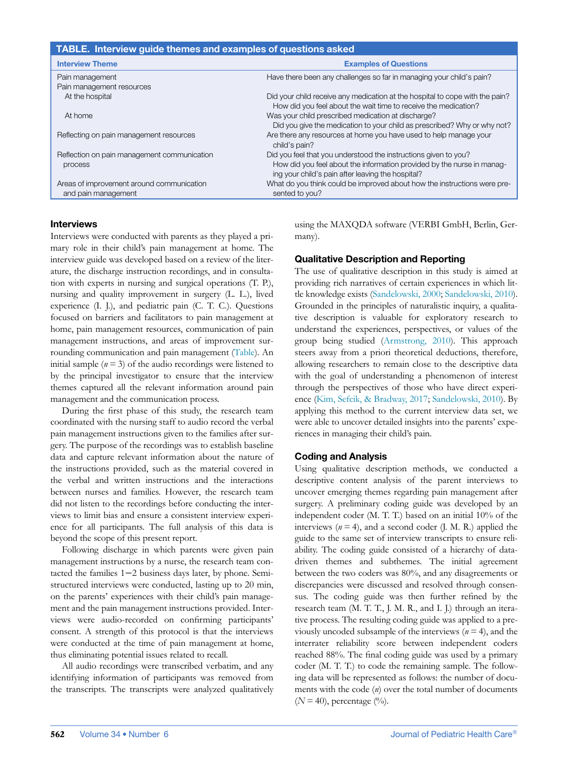<span id="page-2-0"></span>

| TABLE. Interview guide themes and examples of questions asked |                                                                                    |
|---------------------------------------------------------------|------------------------------------------------------------------------------------|
| <b>Interview Theme</b>                                        | <b>Examples of Questions</b>                                                       |
| Pain management                                               | Have there been any challenges so far in managing your child's pain?               |
| Pain management resources                                     |                                                                                    |
| At the hospital                                               | Did your child receive any medication at the hospital to cope with the pain?       |
|                                                               | How did you feel about the wait time to receive the medication?                    |
| At home                                                       | Was your child prescribed medication at discharge?                                 |
|                                                               | Did you give the medication to your child as prescribed? Why or why not?           |
| Reflecting on pain management resources                       | Are there any resources at home you have used to help manage your<br>child's pain? |
| Reflection on pain management communication                   | Did you feel that you understood the instructions given to you?                    |
| process                                                       | How did you feel about the information provided by the nurse in manag-             |
|                                                               | ing your child's pain after leaving the hospital?                                  |
| Areas of improvement around communication                     | What do you think could be improved about how the instructions were pre-           |
| and pain management                                           | sented to you?                                                                     |
|                                                               |                                                                                    |

# Interviews

Interviews were conducted with parents as they played a primary role in their child's pain management at home. The interview guide was developed based on a review of the literature, the discharge instruction recordings, and in consultation with experts in nursing and surgical operations (T. P.), nursing and quality improvement in surgery (L. L.), lived experience (I. J.), and pediatric pain (C. T. C.). Questions focused on barriers and facilitators to pain management at home, pain management resources, communication of pain management instructions, and areas of improvement surrounding communication and pain management ([Table\)](#page-2-0). An initial sample ( $n = 3$ ) of the audio recordings were listened to by the principal investigator to ensure that the interview themes captured all the relevant information around pain management and the communication process.

During the first phase of this study, the research team coordinated with the nursing staff to audio record the verbal pain management instructions given to the families after surgery. The purpose of the recordings was to establish baseline data and capture relevant information about the nature of the instructions provided, such as the material covered in the verbal and written instructions and the interactions between nurses and families. However, the research team did not listen to the recordings before conducting the interviews to limit bias and ensure a consistent interview experience for all participants. The full analysis of this data is beyond the scope of this present report.

Following discharge in which parents were given pain management instructions by a nurse, the research team contacted the families 1−2 business days later, by phone. Semistructured interviews were conducted, lasting up to 20 min, on the parents' experiences with their child's pain management and the pain management instructions provided. Interviews were audio-recorded on confirming participants' consent. A strength of this protocol is that the interviews were conducted at the time of pain management at home, thus eliminating potential issues related to recall.

All audio recordings were transcribed verbatim, and any identifying information of participants was removed from the transcripts. The transcripts were analyzed qualitatively

using the MAXQDA software (VERBI GmbH, Berlin, Germany).

# Qualitative Description and Reporting

The use of qualitative description in this study is aimed at providing rich narratives of certain experiences in which little knowledge exists [\(Sandelowski, 2000](#page-7-17); [Sandelowski, 2010](#page-7-18)). Grounded in the principles of naturalistic inquiry, a qualitative description is valuable for exploratory research to understand the experiences, perspectives, or values of the group being studied [\(Armstrong, 2010](#page-7-19)). This approach steers away from a priori theoretical deductions, therefore, allowing researchers to remain close to the descriptive data with the goal of understanding a phenomenon of interest through the perspectives of those who have direct experience [\(Kim, Sefcik, & Bradway, 2017;](#page-7-20) [Sandelowski, 2010\)](#page-7-18). By applying this method to the current interview data set, we were able to uncover detailed insights into the parents' experiences in managing their child's pain.

## Coding and Analysis

Using qualitative description methods, we conducted a descriptive content analysis of the parent interviews to uncover emerging themes regarding pain management after surgery. A preliminary coding guide was developed by an independent coder (M. T. T.) based on an initial 10% of the interviews ( $n = 4$ ), and a second coder (J. M. R.) applied the guide to the same set of interview transcripts to ensure reliability. The coding guide consisted of a hierarchy of datadriven themes and subthemes. The initial agreement between the two coders was 80%, and any disagreements or discrepancies were discussed and resolved through consensus. The coding guide was then further refined by the research team (M. T. T., J. M. R., and I. J.) through an iterative process. The resulting coding guide was applied to a previously uncoded subsample of the interviews ( $n = 4$ ), and the interrater reliability score between independent coders reached 88%. The final coding guide was used by a primary coder (M. T. T.) to code the remaining sample. The following data will be represented as follows: the number of documents with the code  $(n)$  over the total number of documents  $(N = 40)$ , percentage  $(\%)$ .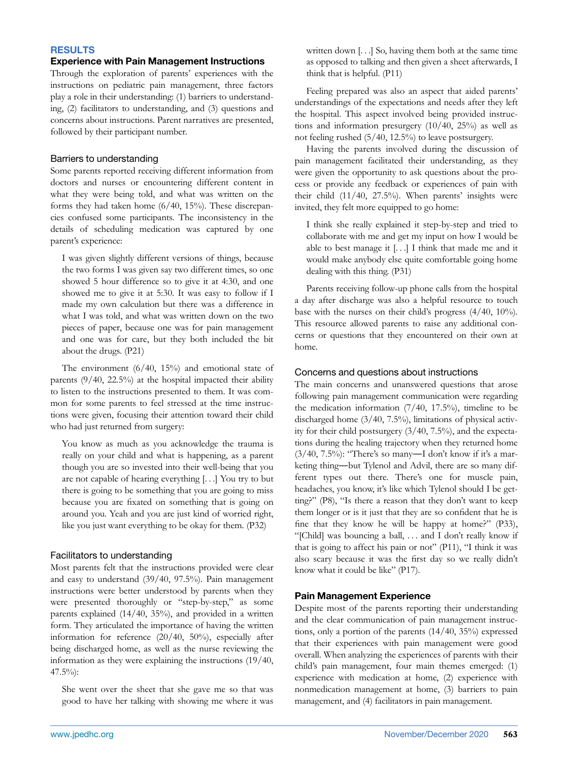## RESULTS

#### Experience with Pain Management Instructions

Through the exploration of parents' experiences with the instructions on pediatric pain management, three factors play a role in their understanding: (1) barriers to understanding, (2) facilitators to understanding, and (3) questions and concerns about instructions. Parent narratives are presented, followed by their participant number.

#### Barriers to understanding

Some parents reported receiving different information from doctors and nurses or encountering different content in what they were being told, and what was written on the forms they had taken home (6/40, 15%). These discrepancies confused some participants. The inconsistency in the details of scheduling medication was captured by one parent's experience:

I was given slightly different versions of things, because the two forms I was given say two different times, so one showed 5 hour difference so to give it at 4:30, and one showed me to give it at 5:30. It was easy to follow if I made my own calculation but there was a difference in what I was told, and what was written down on the two pieces of paper, because one was for pain management and one was for care, but they both included the bit about the drugs. (P21)

The environment (6/40, 15%) and emotional state of parents (9/40, 22.5%) at the hospital impacted their ability to listen to the instructions presented to them. It was common for some parents to feel stressed at the time instructions were given, focusing their attention toward their child who had just returned from surgery:

You know as much as you acknowledge the trauma is really on your child and what is happening, as a parent though you are so invested into their well-being that you are not capable of hearing everything [. . .] You try to but there is going to be something that you are going to miss because you are fixated on something that is going on around you. Yeah and you are just kind of worried right, like you just want everything to be okay for them. (P32)

#### Facilitators to understanding

Most parents felt that the instructions provided were clear and easy to understand (39/40, 97.5%). Pain management instructions were better understood by parents when they were presented thoroughly or "step-by-step," as some parents explained (14/40, 35%), and provided in a written form. They articulated the importance of having the written information for reference (20/40, 50%), especially after being discharged home, as well as the nurse reviewing the information as they were explaining the instructions (19/40, 47.5%):

She went over the sheet that she gave me so that was good to have her talking with showing me where it was written down [. . .] So, having them both at the same time as opposed to talking and then given a sheet afterwards, I think that is helpful. (P11)

Feeling prepared was also an aspect that aided parents' understandings of the expectations and needs after they left the hospital. This aspect involved being provided instructions and information presurgery (10/40, 25%) as well as not feeling rushed (5/40, 12.5%) to leave postsurgery.

Having the parents involved during the discussion of pain management facilitated their understanding, as they were given the opportunity to ask questions about the process or provide any feedback or experiences of pain with their child (11/40, 27.5%). When parents' insights were invited, they felt more equipped to go home:

I think she really explained it step-by-step and tried to collaborate with me and get my input on how I would be able to best manage it [. . .] I think that made me and it would make anybody else quite comfortable going home dealing with this thing. (P31)

Parents receiving follow-up phone calls from the hospital a day after discharge was also a helpful resource to touch base with the nurses on their child's progress (4/40, 10%). This resource allowed parents to raise any additional concerns or questions that they encountered on their own at home.

#### Concerns and questions about instructions

The main concerns and unanswered questions that arose following pain management communication were regarding the medication information  $(7/40, 17.5%)$ , timeline to be discharged home (3/40, 7.5%), limitations of physical activity for their child postsurgery (3/40, 7.5%), and the expectations during the healing trajectory when they returned home  $(3/40, 7.5\%)$ : "There's so many-I don't know if it's a marketing thing—but Tylenol and Advil, there are so many different types out there. There's one for muscle pain, headaches, you know, it's like which Tylenol should I be getting?" (P8), "Is there a reason that they don't want to keep them longer or is it just that they are so confident that he is fine that they know he will be happy at home?" (P33), "[Child] was bouncing a ball, . . . and I don't really know if that is going to affect his pain or not" (P11), "I think it was also scary because it was the first day so we really didn't know what it could be like" (P17).

#### Pain Management Experience

Despite most of the parents reporting their understanding and the clear communication of pain management instructions, only a portion of the parents (14/40, 35%) expressed that their experiences with pain management were good overall. When analyzing the experiences of parents with their child's pain management, four main themes emerged: (1) experience with medication at home, (2) experience with nonmedication management at home, (3) barriers to pain management, and (4) facilitators in pain management.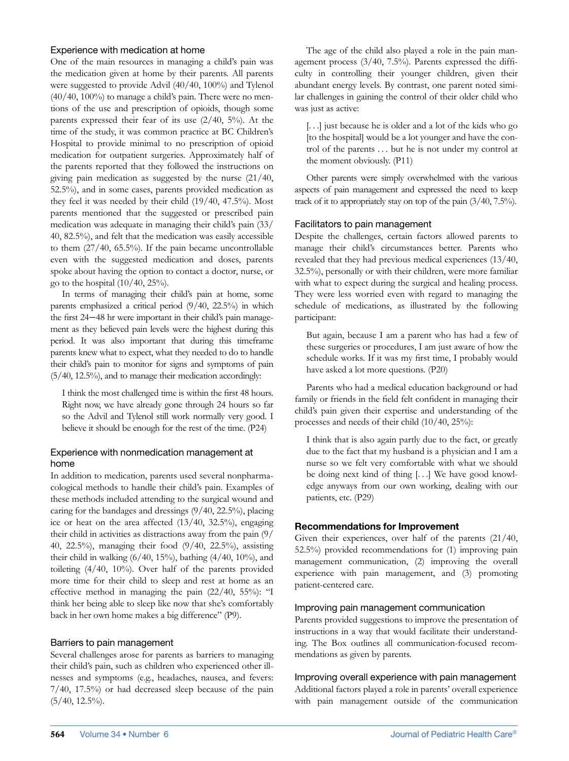## Experience with medication at home

One of the main resources in managing a child's pain was the medication given at home by their parents. All parents were suggested to provide Advil (40/40, 100%) and Tylenol (40/40, 100%) to manage a child's pain. There were no mentions of the use and prescription of opioids, though some parents expressed their fear of its use  $(2/40, 5\%)$ . At the time of the study, it was common practice at BC Children's Hospital to provide minimal to no prescription of opioid medication for outpatient surgeries. Approximately half of the parents reported that they followed the instructions on giving pain medication as suggested by the nurse (21/40, 52.5%), and in some cases, parents provided medication as they feel it was needed by their child (19/40, 47.5%). Most parents mentioned that the suggested or prescribed pain medication was adequate in managing their child's pain (33/ 40, 82.5%), and felt that the medication was easily accessible to them (27/40, 65.5%). If the pain became uncontrollable even with the suggested medication and doses, parents spoke about having the option to contact a doctor, nurse, or go to the hospital (10/40, 25%).

In terms of managing their child's pain at home, some parents emphasized a critical period (9/40, 22.5%) in which the first 24−48 hr were important in their child's pain management as they believed pain levels were the highest during this period. It was also important that during this timeframe parents knew what to expect, what they needed to do to handle their child's pain to monitor for signs and symptoms of pain (5/40, 12.5%), and to manage their medication accordingly:

I think the most challenged time is within the first 48 hours. Right now, we have already gone through 24 hours so far so the Advil and Tylenol still work normally very good. I believe it should be enough for the rest of the time. (P24)

## Experience with nonmedication management at home

In addition to medication, parents used several nonpharmacological methods to handle their child's pain. Examples of these methods included attending to the surgical wound and caring for the bandages and dressings (9/40, 22.5%), placing ice or heat on the area affected (13/40, 32.5%), engaging their child in activities as distractions away from the pain (9/ 40, 22.5%), managing their food (9/40, 22.5%), assisting their child in walking  $(6/40, 15\%)$ , bathing  $(4/40, 10\%)$ , and toileting (4/40, 10%). Over half of the parents provided more time for their child to sleep and rest at home as an effective method in managing the pain (22/40, 55%): "I think her being able to sleep like now that she's comfortably back in her own home makes a big difference" (P9).

## Barriers to pain management

Several challenges arose for parents as barriers to managing their child's pain, such as children who experienced other illnesses and symptoms (e.g., headaches, nausea, and fevers: 7/40, 17.5%) or had decreased sleep because of the pain  $(5/40, 12.5\%)$ .

The age of the child also played a role in the pain management process (3/40, 7.5%). Parents expressed the difficulty in controlling their younger children, given their abundant energy levels. By contrast, one parent noted similar challenges in gaining the control of their older child who was just as active:

[...] just because he is older and a lot of the kids who go [to the hospital] would be a lot younger and have the control of the parents . . . but he is not under my control at the moment obviously. (P11)

Other parents were simply overwhelmed with the various aspects of pain management and expressed the need to keep track of it to appropriately stay on top of the pain (3/40, 7.5%).

## Facilitators to pain management

Despite the challenges, certain factors allowed parents to manage their child's circumstances better. Parents who revealed that they had previous medical experiences (13/40, 32.5%), personally or with their children, were more familiar with what to expect during the surgical and healing process. They were less worried even with regard to managing the schedule of medications, as illustrated by the following participant:

But again, because I am a parent who has had a few of these surgeries or procedures, I am just aware of how the schedule works. If it was my first time, I probably would have asked a lot more questions. (P20)

Parents who had a medical education background or had family or friends in the field felt confident in managing their child's pain given their expertise and understanding of the processes and needs of their child (10/40, 25%):

I think that is also again partly due to the fact, or greatly due to the fact that my husband is a physician and I am a nurse so we felt very comfortable with what we should be doing next kind of thing [. . .] We have good knowledge anyways from our own working, dealing with our patients, etc. (P29)

## Recommendations for Improvement

Given their experiences, over half of the parents (21/40, 52.5%) provided recommendations for (1) improving pain management communication, (2) improving the overall experience with pain management, and (3) promoting patient-centered care.

#### Improving pain management communication

Parents provided suggestions to improve the presentation of instructions in a way that would facilitate their understanding. The Box outlines all communication-focused recommendations as given by parents.

#### Improving overall experience with pain management

Additional factors played a role in parents' overall experience with pain management outside of the communication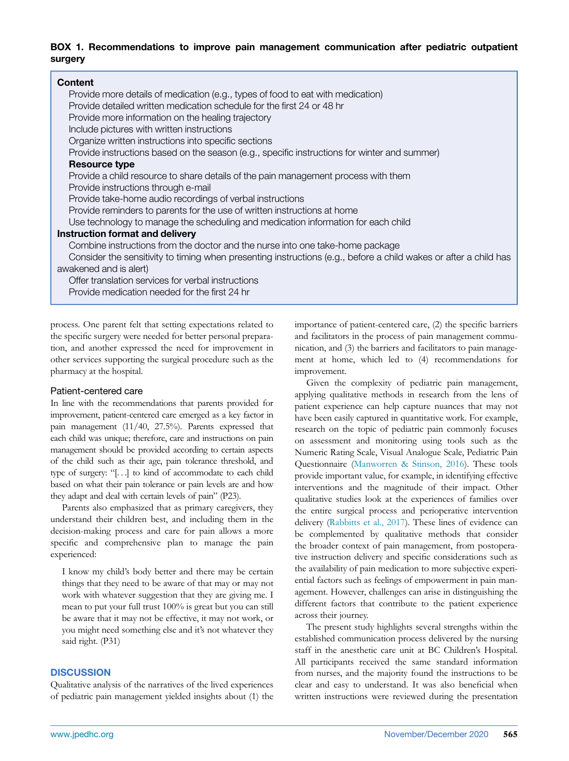# BOX 1. Recommendations to improve pain management communication after pediatric outpatient surgery

| Content<br>Provide more details of medication (e.g., types of food to eat with medication)<br>Provide detailed written medication schedule for the first 24 or 48 hr<br>Provide more information on the healing trajectory<br>Include pictures with written instructions<br>Organize written instructions into specific sections |
|----------------------------------------------------------------------------------------------------------------------------------------------------------------------------------------------------------------------------------------------------------------------------------------------------------------------------------|
| Provide instructions based on the season (e.g., specific instructions for winter and summer)<br>Resource type                                                                                                                                                                                                                    |
| Provide a child resource to share details of the pain management process with them<br>Provide instructions through e-mail<br>Provide take-home audio recordings of verbal instructions                                                                                                                                           |
| Provide reminders to parents for the use of written instructions at home                                                                                                                                                                                                                                                         |
| Use technology to manage the scheduling and medication information for each child                                                                                                                                                                                                                                                |
| Instruction format and delivery                                                                                                                                                                                                                                                                                                  |
| Combine instructions from the doctor and the nurse into one take-home package                                                                                                                                                                                                                                                    |
| Consider the sensitivity to timing when presenting instructions (e.g., before a child wakes or after a child has<br>awakened and is alert)<br>Offer translation services for verbal instructions<br>Provide medication needed for the first 24 hr                                                                                |

process. One parent felt that setting expectations related to the specific surgery were needed for better personal preparation, and another expressed the need for improvement in other services supporting the surgical procedure such as the pharmacy at the hospital.

## Patient-centered care

In line with the recommendations that parents provided for improvement, patient-centered care emerged as a key factor in pain management (11/40, 27.5%). Parents expressed that each child was unique; therefore, care and instructions on pain management should be provided according to certain aspects of the child such as their age, pain tolerance threshold, and type of surgery: "[. . .] to kind of accommodate to each child based on what their pain tolerance or pain levels are and how they adapt and deal with certain levels of pain" (P23).

Parents also emphasized that as primary caregivers, they understand their children best, and including them in the decision-making process and care for pain allows a more specific and comprehensive plan to manage the pain experienced:

I know my child's body better and there may be certain things that they need to be aware of that may or may not work with whatever suggestion that they are giving me. I mean to put your full trust 100% is great but you can still be aware that it may not be effective, it may not work, or you might need something else and it's not whatever they said right. (P31)

# **DISCUSSION**

Qualitative analysis of the narratives of the lived experiences of pediatric pain management yielded insights about (1) the

importance of patient-centered care, (2) the specific barriers and facilitators in the process of pain management communication, and (3) the barriers and facilitators to pain management at home, which led to (4) recommendations for improvement.

Given the complexity of pediatric pain management, applying qualitative methods in research from the lens of patient experience can help capture nuances that may not have been easily captured in quantitative work. For example, research on the topic of pediatric pain commonly focuses on assessment and monitoring using tools such as the Numeric Rating Scale, Visual Analogue Scale, Pediatric Pain Questionnaire ([Manworren & Stinson, 2016](#page-7-21)). These tools provide important value, for example, in identifying effective interventions and the magnitude of their impact. Other qualitative studies look at the experiences of families over the entire surgical process and perioperative intervention delivery ([Rabbitts et al., 2017\)](#page-7-22). These lines of evidence can be complemented by qualitative methods that consider the broader context of pain management, from postoperative instruction delivery and specific considerations such as the availability of pain medication to more subjective experiential factors such as feelings of empowerment in pain management. However, challenges can arise in distinguishing the different factors that contribute to the patient experience across their journey.

The present study highlights several strengths within the established communication process delivered by the nursing staff in the anesthetic care unit at BC Children's Hospital. All participants received the same standard information from nurses, and the majority found the instructions to be clear and easy to understand. It was also beneficial when written instructions were reviewed during the presentation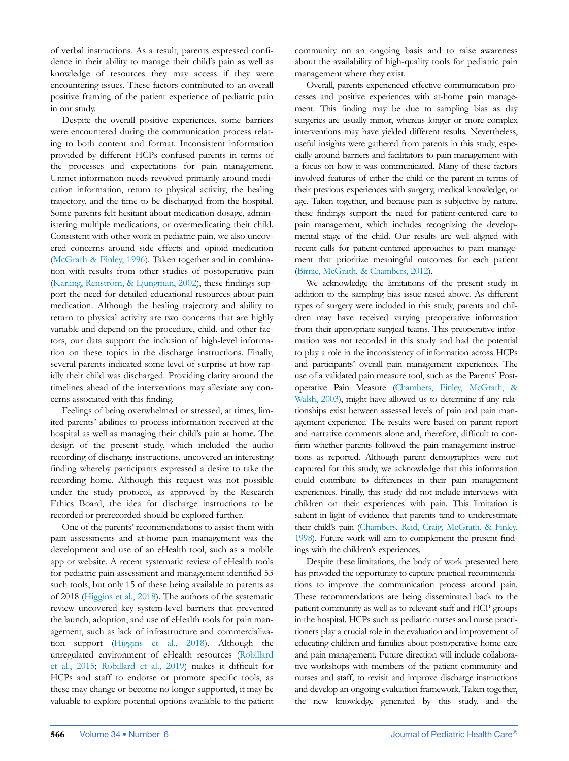of verbal instructions. As a result, parents expressed confidence in their ability to manage their child's pain as well as knowledge of resources they may access if they were encountering issues. These factors contributed to an overall positive framing of the patient experience of pediatric pain in our study.

Despite the overall positive experiences, some barriers were encountered during the communication process relating to both content and format. Inconsistent information provided by different HCPs confused parents in terms of the processes and expectations for pain management. Unmet information needs revolved primarily around medication information, return to physical activity, the healing trajectory, and the time to be discharged from the hospital. Some parents felt hesitant about medication dosage, administering multiple medications, or overmedicating their child. Consistent with other work in pediatric pain, we also uncovered concerns around side effects and opioid medication ([McGrath & Finley, 1996](#page-7-23)). Taken together and in combination with results from other studies of postoperative pain ([Karling, Renstr](#page-7-24)ö[m, & Ljungman, 2002](#page-7-24)), these findings support the need for detailed educational resources about pain medication. Although the healing trajectory and ability to return to physical activity are two concerns that are highly variable and depend on the procedure, child, and other factors, our data support the inclusion of high-level information on these topics in the discharge instructions. Finally, several parents indicated some level of surprise at how rapidly their child was discharged. Providing clarity around the timelines ahead of the interventions may alleviate any concerns associated with this finding.

Feelings of being overwhelmed or stressed, at times, limited parents' abilities to process information received at the hospital as well as managing their child's pain at home. The design of the present study, which included the audio recording of discharge instructions, uncovered an interesting finding whereby participants expressed a desire to take the recording home. Although this request was not possible under the study protocol, as approved by the Research Ethics Board, the idea for discharge instructions to be recorded or prerecorded should be explored further.

One of the parents' recommendations to assist them with pain assessments and at-home pain management was the development and use of an eHealth tool, such as a mobile app or website. A recent systematic review of eHealth tools for pediatric pain assessment and management identified 53 such tools, but only 15 of these being available to parents as of 2018 ([Higgins et al., 2018](#page-7-25)). The authors of the systematic review uncovered key system-level barriers that prevented the launch, adoption, and use of eHealth tools for pain management, such as lack of infrastructure and commercialization support [\(Higgins et al., 2018](#page-7-25)). Although the unregulated environment of eHealth resources [\(Robillard](#page-7-26) [et al., 2015](#page-7-26); [Robillard et al., 2019\)](#page-7-27) makes it difficult for HCPs and staff to endorse or promote specific tools, as these may change or become no longer supported, it may be valuable to explore potential options available to the patient

community on an ongoing basis and to raise awareness about the availability of high-quality tools for pediatric pain management where they exist.

Overall, parents experienced effective communication processes and positive experiences with at-home pain management. This finding may be due to sampling bias as day surgeries are usually minor, whereas longer or more complex interventions may have yielded different results. Nevertheless, useful insights were gathered from parents in this study, especially around barriers and facilitators to pain management with a focus on how it was communicated. Many of these factors involved features of either the child or the parent in terms of their previous experiences with surgery, medical knowledge, or age. Taken together, and because pain is subjective by nature, these findings support the need for patient-centered care to pain management, which includes recognizing the developmental stage of the child. Our results are well aligned with recent calls for patient-centered approaches to pain management that prioritize meaningful outcomes for each patient ([Birnie, McGrath, & Chambers, 2012](#page-7-28)).

We acknowledge the limitations of the present study in addition to the sampling bias issue raised above. As different types of surgery were included in this study, parents and children may have received varying preoperative information from their appropriate surgical teams. This preoperative information was not recorded in this study and had the potential to play a role in the inconsistency of information across HCPs and participants' overall pain management experiences. The use of a validated pain measure tool, such as the Parents' Postoperative Pain Measure [\(Chambers, Finley, McGrath, &](#page-7-29) [Walsh, 2003](#page-7-29)), might have allowed us to determine if any relationships exist between assessed levels of pain and pain management experience. The results were based on parent report and narrative comments alone and, therefore, difficult to confirm whether parents followed the pain management instructions as reported. Although parent demographics were not captured for this study, we acknowledge that this information could contribute to differences in their pain management experiences. Finally, this study did not include interviews with children on their experiences with pain. This limitation is salient in light of evidence that parents tend to underestimate their child's pain [\(Chambers, Reid, Craig, McGrath, & Finley,](#page-7-30) [1998\)](#page-7-30). Future work will aim to complement the present findings with the children's experiences.

Despite these limitations, the body of work presented here has provided the opportunity to capture practical recommendations to improve the communication process around pain. These recommendations are being disseminated back to the patient community as well as to relevant staff and HCP groups in the hospital. HCPs such as pediatric nurses and nurse practitioners play a crucial role in the evaluation and improvement of educating children and families about postoperative home care and pain management. Future direction will include collaborative workshops with members of the patient community and nurses and staff, to revisit and improve discharge instructions and develop an ongoing evaluation framework. Taken together, the new knowledge generated by this study, and the